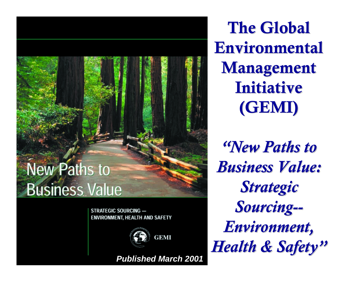## **New Paths to Business Value**

**STRATEGIC SOURCING -ENVIRONMENT, HEALTH AND SAFETY** 



*Published March 2001*

The Global **Environmental Management** Initiative (GEMI)

*"New Paths to New Paths to Business Value: Business Value: Strategic Strategic Sourcing Sourcing-- Environment, Environment, Health & Safety Health & Safety "*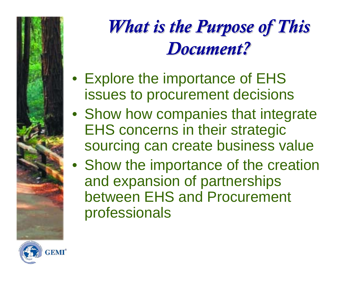## *What is the Purpose of This What is the Purpose of This Document? Document?*

- Explore the importance of EHS issues to procurement decisions
- Show how companies that integrate EHS concerns in their strategic sourcing can create business value
- Show the importance of the creation and expansion of partnerships between EHS and Procurement professionals

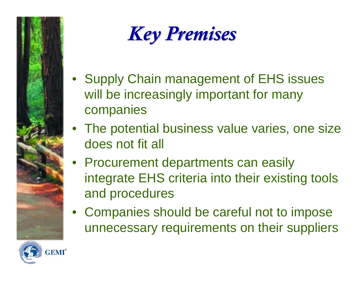

*Key Premises Key Premises*

- Supply Chain management of EHS issues will be increasingly important for many companies
- The potential business value varies, one size does not fit all
- Procurement departments can easily integrate EHS criteria into their existing tools and procedures
- Companies should be careful not to impose unnecessary requirements on their suppliers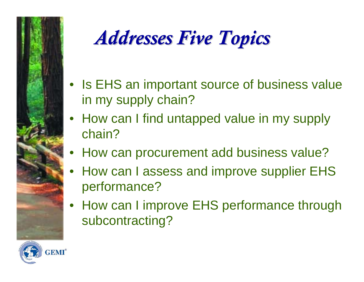

# *Addresses Five Topics Addresses Five Topics*

- Is EHS an important source of business value in my supply chain?
- How can I find untapped value in my supply chain?
- How can procurement add business value?
- • How can I assess and improve supplier EHS performance?
- How can I improve EHS performance through subcontracting?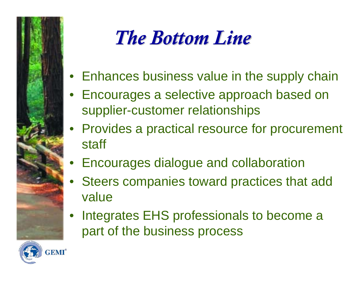

## *The Bottom Line The Bottom Line*

- Enhances business value in the supply chain
- Encourages a selective approach based on supplier-customer relationships
- Provides a practical resource for procurement staff
- Encourages dialogue and collaboration
- Steers companies toward practices that add value
- • Integrates EHS professionals to become a part of the business process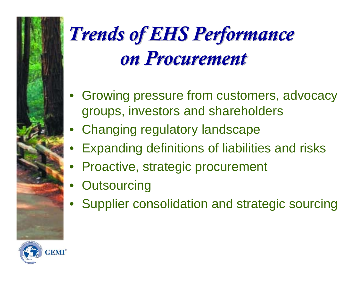# *Trends of EHS Performance Trends of EHS Performance on Procurement on Procurement*

- Growing pressure from customers, advocacy groups, investors and shareholders
- Changing regulatory landscape
- •Expanding definitions of liabilities and risks
- Proactive, strategic procurement
- •**Outsourcing**
- •Supplier consolidation and strategic sourcing

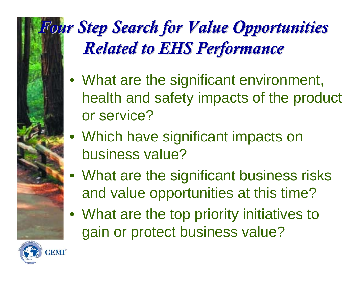## **Four Step Search for Value Opportunities** *Related to EHS Performance Related to EHS Performance*

- What are the significant environment, health and safety impacts of the product or service?
- Which have significant impacts on business value?
- What are the significant business risks and value opportunities at this time?
- What are the top priority initiatives to gain or protect business value?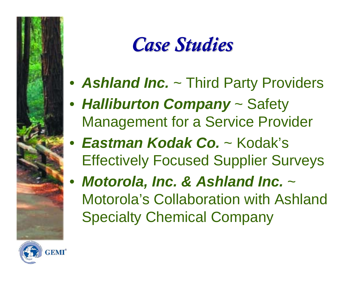## *Case Studies Case Studies*

- *Ashland Inc.* ~ Third Party Providers
- *Halliburton Company* ~ Safety Management for a Service Provider
- *Eastman Kodak Co.* ~ Kodak's Effectively Focused Supplier Surveys
- *Motorola, Inc. & Ashland Inc.* <sup>~</sup> Motorola's Collaboration with Ashland Specialty Chemical Company